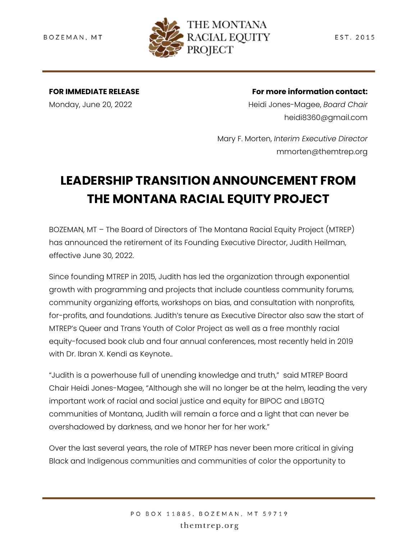

**FOR IMMEDIATE RELEASE** Monday, June 20, 2022

**For more information contact:**

Heidi Jones-Magee, *Board Chair* heidi8360@gmail.com

Mary F. Morten, *Interim Executive Director* mmorten@themtrep.org

## **LEADERSHIP TRANSITION ANNOUNCEMENT FROM THE MONTANA RACIAL EQUITY PROJECT**

BOZEMAN, MT – The Board of Directors of The Montana Racial Equity Project (MTREP) has announced the retirement of its Founding Executive Director, Judith Heilman, effective June 30, 2022.

Since founding MTREP in 2015, Judith has led the organization through exponential growth with programming and projects that include countless community forums, community organizing efforts, workshops on bias, and consultation with nonprofits, for-profits, and foundations. Judith's tenure as Executive Director also saw the start of MTREP's Queer and Trans Youth of Color Project as well as a free monthly racial equity-focused book club and four annual conferences, most recently held in 2019 with Dr. Ibran X. Kendi as Keynote..

"Judith is a powerhouse full of unending knowledge and truth," said MTREP Board Chair Heidi Jones-Magee, "Although she will no longer be at the helm, leading the very important work of racial and social justice and equity for BIPOC and LBGTQ communities of Montana, Judith will remain a force and a light that can never be overshadowed by darkness, and we honor her for her work."

Over the last several years, the role of MTREP has never been more critical in giving Black and Indigenous communities and communities of color the opportunity to